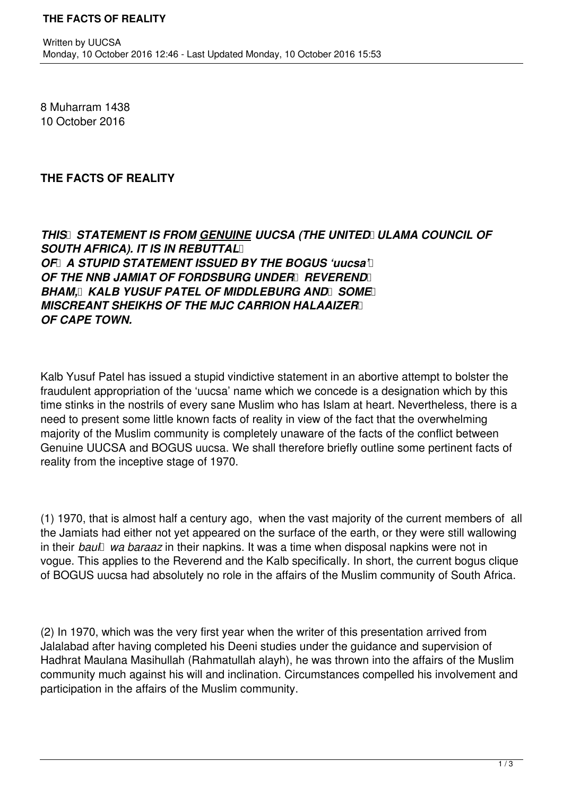8 Muharram 1438 10 October 2016

## **THE FACTS OF REALITY**

## **THIS STATEMENT IS FROM GENUINE UUCSA (THE UNITED ULAMA COUNCIL OF SOUTH AFRICA). IT IS IN REBUTTAL** *OF A STUPID STATEMENT ISSUED BY THE BOGUS 'uucsa' OF THE NNB JAMIAT OF FORDSBURG UNDER REVEREND <b>RE* **BHAM. KALB YUSUF PATEL OF MIDDLEBURG AND SOME MISCREANT SHEIKHS OF THE MJC CARRION HALAAIZER** *OF CAPE TOWN.*

Kalb Yusuf Patel has issued a stupid vindictive statement in an abortive attempt to bolster the fraudulent appropriation of the 'uucsa' name which we concede is a designation which by this time stinks in the nostrils of every sane Muslim who has Islam at heart. Nevertheless, there is a need to present some little known facts of reality in view of the fact that the overwhelming majority of the Muslim community is completely unaware of the facts of the conflict between Genuine UUCSA and BOGUS uucsa. We shall therefore briefly outline some pertinent facts of reality from the inceptive stage of 1970.

(1) 1970, that is almost half a century ago, when the vast majority of the current members of all the Jamiats had either not yet appeared on the surface of the earth, or they were still wallowing in their *baul wa baraaz* in their napkins. It was a time when disposal napkins were not in vogue. This applies to the Reverend and the Kalb specifically. In short, the current bogus clique of BOGUS uucsa had absolutely no role in the affairs of the Muslim community of South Africa.

(2) In 1970, which was the very first year when the writer of this presentation arrived from Jalalabad after having completed his Deeni studies under the guidance and supervision of Hadhrat Maulana Masihullah (Rahmatullah alayh), he was thrown into the affairs of the Muslim community much against his will and inclination. Circumstances compelled his involvement and participation in the affairs of the Muslim community.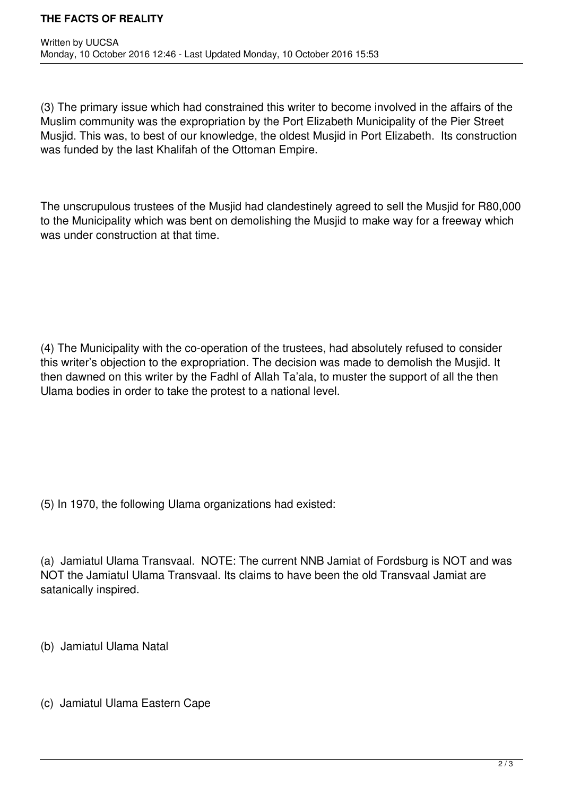(3) The primary issue which had constrained this writer to become involved in the affairs of the Muslim community was the expropriation by the Port Elizabeth Municipality of the Pier Street Musjid. This was, to best of our knowledge, the oldest Musjid in Port Elizabeth. Its construction was funded by the last Khalifah of the Ottoman Empire.

The unscrupulous trustees of the Musjid had clandestinely agreed to sell the Musjid for R80,000 to the Municipality which was bent on demolishing the Musjid to make way for a freeway which was under construction at that time.

(4) The Municipality with the co-operation of the trustees, had absolutely refused to consider this writer's objection to the expropriation. The decision was made to demolish the Musjid. It then dawned on this writer by the Fadhl of Allah Ta'ala, to muster the support of all the then Ulama bodies in order to take the protest to a national level.

(5) In 1970, the following Ulama organizations had existed:

(a) Jamiatul Ulama Transvaal. NOTE: The current NNB Jamiat of Fordsburg is NOT and was NOT the Jamiatul Ulama Transvaal. Its claims to have been the old Transvaal Jamiat are satanically inspired.

(b) Jamiatul Ulama Natal

(c) Jamiatul Ulama Eastern Cape